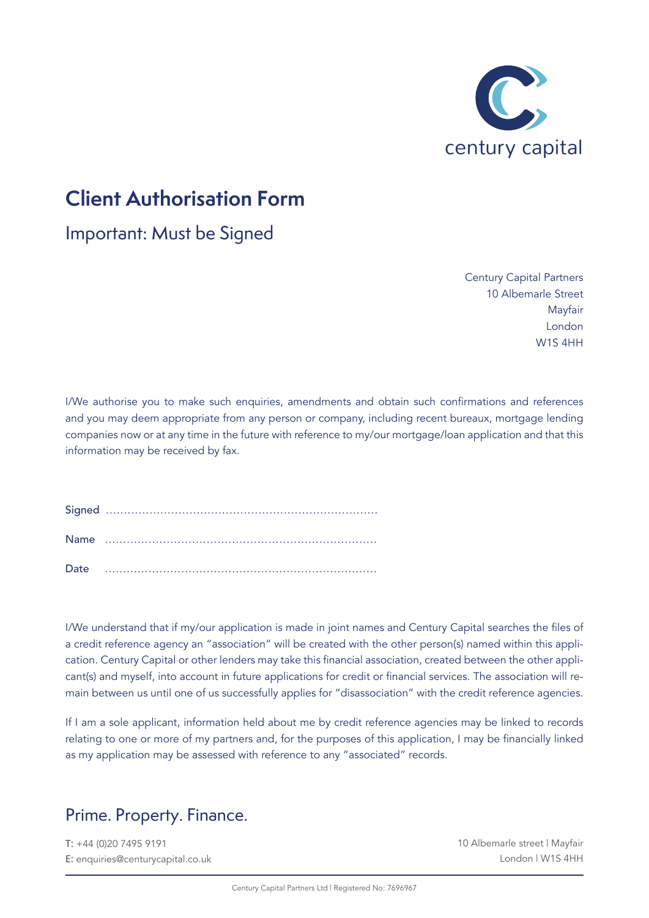

# **Client Authorisation Form**

Important: Must be Signed

Century Capital Partners 10 Albemarle Street Mayfair London W1S 4HH

I/We authorise you to make such enquiries, amendments and obtain such confirmations and references and you may deem appropriate from any person or company, including recent bureaux, mortgage lending companies now or at any time in the future with reference to my/our mortgage/loan application and that this information may be received by fax.

| Date |  |
|------|--|

I/We understand that if my/our application is made in joint names and Century Capital searches the files of a credit reference agency an "association" will be created with the other person(s) named within this application. Century Capital or other lenders may take this financial association, created between the other applicant(s) and myself, into account in future applications for credit or financial services. The association will remain between us until one of us successfully applies for "disassociation" with the credit reference agencies.

If I am a sole applicant, information held about me by credit reference agencies may be linked to records relating to one or more of my partners and, for the purposes of this application, I may be financially linked as my application may be assessed with reference to any "associated" records.

### Prime. Property. Finance.

T: +44 (0)20 7495 9191 E: enquiries@centurycapital.co.uk 10 Albemarle street | Mayfair London | W1S 4HH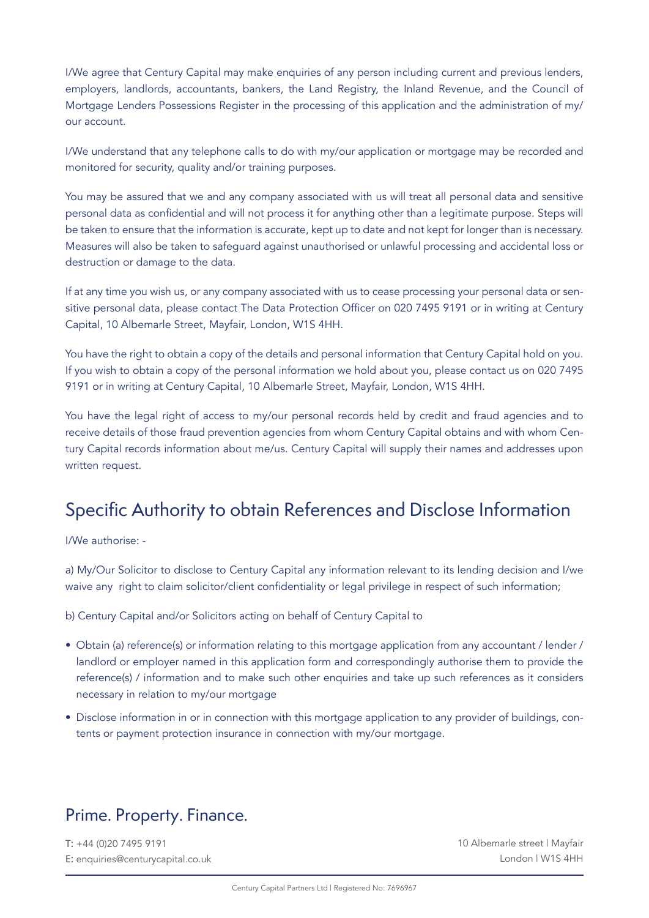I/We agree that Century Capital may make enquiries of any person including current and previous lenders, employers, landlords, accountants, bankers, the Land Registry, the Inland Revenue, and the Council of Mortgage Lenders Possessions Register in the processing of this application and the administration of my/ our account.

I/We understand that any telephone calls to do with my/our application or mortgage may be recorded and monitored for security, quality and/or training purposes.

You may be assured that we and any company associated with us will treat all personal data and sensitive personal data as confidential and will not process it for anything other than a legitimate purpose. Steps will be taken to ensure that the information is accurate, kept up to date and not kept for longer than is necessary. Measures will also be taken to safeguard against unauthorised or unlawful processing and accidental loss or destruction or damage to the data.

If at any time you wish us, or any company associated with us to cease processing your personal data or sensitive personal data, please contact The Data Protection Officer on 020 7495 9191 or in writing at Century Capital, 10 Albemarle Street, Mayfair, London, W1S 4HH.

You have the right to obtain a copy of the details and personal information that Century Capital hold on you. If you wish to obtain a copy of the personal information we hold about you, please contact us on 020 7495 9191 or in writing at Century Capital, 10 Albemarle Street, Mayfair, London, W1S 4HH.

You have the legal right of access to my/our personal records held by credit and fraud agencies and to receive details of those fraud prevention agencies from whom Century Capital obtains and with whom Century Capital records information about me/us. Century Capital will supply their names and addresses upon written request.

# Specific Authority to obtain References and Disclose Information

I/We authorise: -

a) My/Our Solicitor to disclose to Century Capital any information relevant to its lending decision and I/we waive any right to claim solicitor/client confidentiality or legal privilege in respect of such information;

b) Century Capital and/or Solicitors acting on behalf of Century Capital to

- Obtain (a) reference(s) or information relating to this mortgage application from any accountant / lender / landlord or employer named in this application form and correspondingly authorise them to provide the reference(s) / information and to make such other enquiries and take up such references as it considers necessary in relation to my/our mortgage
- Disclose information in or in connection with this mortgage application to any provider of buildings, contents or payment protection insurance in connection with my/our mortgage.

#### Prime. Property. Finance.

T: +44 (0)20 7495 9191 E: enquiries@centurycapital.co.uk

10 Albemarle street | Mayfair London | W1S 4HH